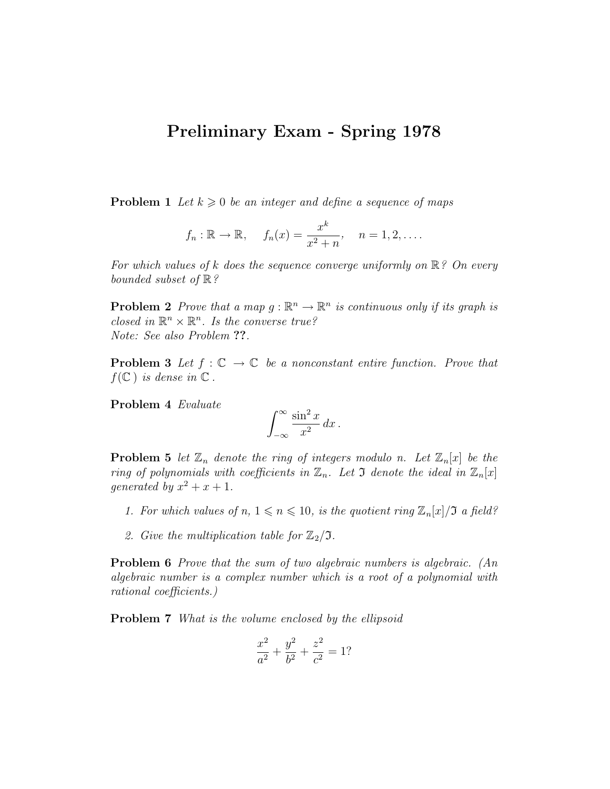## Preliminary Exam - Spring 1978

**Problem 1** Let  $k \geq 0$  be an integer and define a sequence of maps

$$
f_n : \mathbb{R} \to \mathbb{R},
$$
  $f_n(x) = \frac{x^k}{x^2 + n},$   $n = 1, 2, ....$ 

For which values of k does the sequence converge uniformly on  $\mathbb{R}$ ? On every bounded subset of  $\mathbb{R}$ ?

**Problem 2** Prove that a map  $g : \mathbb{R}^n \to \mathbb{R}^n$  is continuous only if its graph is closed in  $\mathbb{R}^n \times \mathbb{R}^n$ . Is the converse true? Note: See also Problem ??.

**Problem 3** Let  $f : \mathbb{C} \to \mathbb{C}$  be a nonconstant entire function. Prove that  $f(\mathbb{C})$  is dense in  $\mathbb{C}$ .

Problem 4 Evaluate

$$
\int_{-\infty}^{\infty} \frac{\sin^2 x}{x^2} \, dx \, .
$$

**Problem 5** let  $\mathbb{Z}_n$  denote the ring of integers modulo n. Let  $\mathbb{Z}_n[x]$  be the ring of polynomials with coefficients in  $\mathbb{Z}_n$ . Let 3 denote the ideal in  $\mathbb{Z}_n[x]$ generated by  $x^2 + x + 1$ .

- 1. For which values of  $n, 1 \leq n \leq 10$ , is the quotient ring  $\mathbb{Z}_n[x]/\mathfrak{I}$  a field?
- 2. Give the multiplication table for  $\mathbb{Z}_2/\mathfrak{I}$ .

Problem 6 Prove that the sum of two algebraic numbers is algebraic. (An algebraic number is a complex number which is a root of a polynomial with rational coefficients.)

Problem 7 What is the volume enclosed by the ellipsoid

$$
\frac{x^2}{a^2} + \frac{y^2}{b^2} + \frac{z^2}{c^2} = 1?
$$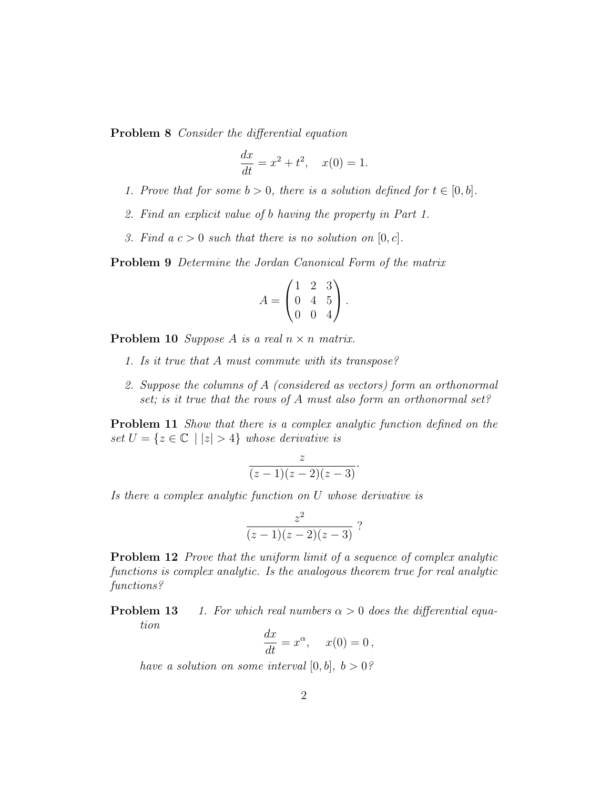Problem 8 Consider the differential equation

$$
\frac{dx}{dt} = x^2 + t^2, \quad x(0) = 1.
$$

- 1. Prove that for some  $b > 0$ , there is a solution defined for  $t \in [0, b]$ .
- 2. Find an explicit value of b having the property in Part 1.
- 3. Find  $a c > 0$  such that there is no solution on  $[0, c]$ .

Problem 9 Determine the Jordan Canonical Form of the matrix

$$
A = \begin{pmatrix} 1 & 2 & 3 \\ 0 & 4 & 5 \\ 0 & 0 & 4 \end{pmatrix}.
$$

**Problem 10** Suppose A is a real  $n \times n$  matrix.

- 1. Is it true that A must commute with its transpose?
- 2. Suppose the columns of A (considered as vectors) form an orthonormal set; is it true that the rows of A must also form an orthonormal set?

Problem 11 Show that there is a complex analytic function defined on the set  $U = \{z \in \mathbb{C} \mid |z| > 4\}$  whose derivative is

$$
\frac{z}{(z-1)(z-2)(z-3)}.
$$

Is there a complex analytic function on U whose derivative is

$$
\frac{z^2}{(z-1)(z-2)(z-3)}
$$
?

**Problem 12** Prove that the uniform limit of a sequence of complex analytic functions is complex analytic. Is the analogous theorem true for real analytic functions?

**Problem 13** 1. For which real numbers  $\alpha > 0$  does the differential equation

$$
\frac{dx}{dt} = x^{\alpha}, \quad x(0) = 0,
$$

have a solution on some interval  $[0, b]$ ,  $b > 0$ ?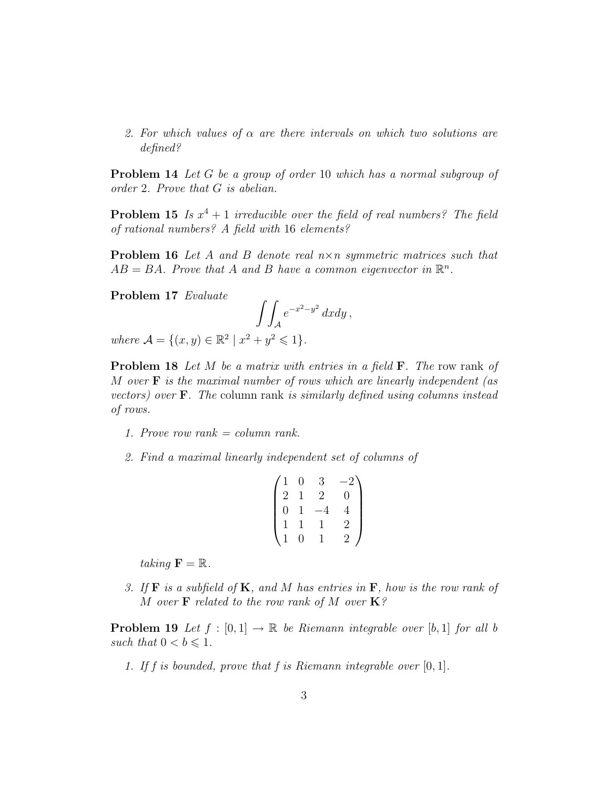2. For which values of  $\alpha$  are there intervals on which two solutions are defined?

Problem 14 Let G be a group of order 10 which has a normal subgroup of order 2. Prove that G is abelian.

**Problem 15** Is  $x^4 + 1$  irreducible over the field of real numbers? The field of rational numbers? A field with 16 elements?

**Problem 16** Let A and B denote real  $n \times n$  symmetric matrices such that  $AB = BA$ . Prove that A and B have a common eigenvector in  $\mathbb{R}^n$ .

Problem 17 Evaluate

$$
\int\!\int_{\mathcal{A}} e^{-x^2 - y^2} \, dx dy \,,
$$

where  $\mathcal{A} = \{(x, y) \in \mathbb{R}^2 \mid x^2 + y^2 \leq 1\}.$ 

**Problem 18** Let M be a matrix with entries in a field  $\mathbf{F}$ . The row rank of M over  $\bf{F}$  is the maximal number of rows which are linearly independent (as vectors) over  $\bf{F}$ . The column rank is similarly defined using columns instead of rows.

- 1. Prove row rank = column rank.
- 2. Find a maximal linearly independent set of columns of

$$
\begin{pmatrix} 1 & 0 & 3 & -2 \\ 2 & 1 & 2 & 0 \\ 0 & 1 & -4 & 4 \\ 1 & 1 & 1 & 2 \\ 1 & 0 & 1 & 2 \end{pmatrix}
$$

taking  $\mathbf{F} = \mathbb{R}$ .

3. If  $\bf{F}$  is a subfield of  $\bf{K}$ , and  $\bf{M}$  has entries in  $\bf{F}$ , how is the row rank of M over **F** related to the row rank of M over  $\mathbf{K}$ ?

**Problem 19** Let  $f : [0, 1] \rightarrow \mathbb{R}$  be Riemann integrable over [b, 1] for all b such that  $0 < b \leq 1$ .

1. If f is bounded, prove that f is Riemann integrable over  $[0, 1]$ .